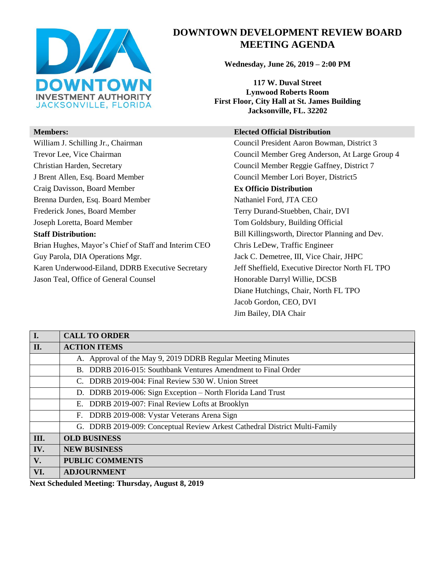

# **DOWNTOWN DEVELOPMENT REVIEW BOARD MEETING AGENDA**

**Wednesday, June 26, 2019 – 2:00 PM**

**117 W. Duval Street Lynwood Roberts Room First Floor, City Hall at St. James Building Jacksonville, FL. 32202** 

#### **Members: Elected Official Distribution**

William J. Schilling Jr., Chairman Council President Aaron Bowman, District 3 Trevor Lee, Vice Chairman Council Member Greg Anderson, At Large Group 4 Jason Teal, Office of General Counsel **Honorable Darryl Willie, DCSB** Diane Hutchings, Chair, North FL TPO Jacob Gordon, CEO, DVI Jim Bailey, DIA Chair

| I.            | <b>CALL TO ORDER</b>                                                       |
|---------------|----------------------------------------------------------------------------|
| II.           | <b>ACTION ITEMS</b>                                                        |
|               | A. Approval of the May 9, 2019 DDRB Regular Meeting Minutes                |
|               | B. DDRB 2016-015: Southbank Ventures Amendment to Final Order              |
|               | C. DDRB 2019-004: Final Review 530 W. Union Street                         |
|               | D. DDRB 2019-006: Sign Exception – North Florida Land Trust                |
|               | E. DDRB 2019-007: Final Review Lofts at Brooklyn                           |
|               | F. DDRB 2019-008: Vystar Veterans Arena Sign                               |
|               | G. DDRB 2019-009: Conceptual Review Arkest Cathedral District Multi-Family |
| III.          | <b>OLD BUSINESS</b>                                                        |
| IV.           | <b>NEW BUSINESS</b>                                                        |
| $V_{\bullet}$ | <b>PUBLIC COMMENTS</b>                                                     |
| VI.           | <b>ADJOURNMENT</b>                                                         |

**Next Scheduled Meeting: Thursday, August 8, 2019**

Christian Harden, Secretary Council Member Reggie Gaffney, District 7 J Brent Allen, Esq. Board Member Council Member Lori Boyer, District5 Craig Davisson, Board Member **Ex Officio Distribution** Brenna Durden, Esq. Board Member Nathaniel Ford, JTA CEO Frederick Jones, Board Member Terry Durand-Stuebben, Chair, DVI Joseph Loretta, Board Member Tom Goldsbury, Building Official **Staff Distribution:** Bill Killingsworth, Director Planning and Dev. Brian Hughes, Mayor's Chief of Staff and Interim CEO Chris LeDew, Traffic Engineer Guy Parola, DIA Operations Mgr. Jack C. Demetree, III, Vice Chair, JHPC Karen Underwood-Eiland, DDRB Executive Secretary Jeff Sheffield, Executive Director North FL TPO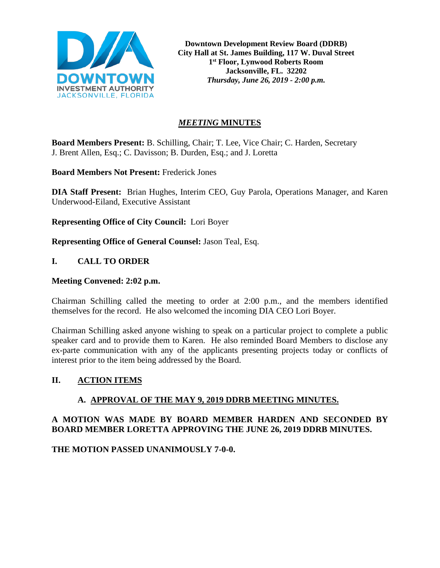

**Downtown Development Review Board (DDRB) City Hall at St. James Building, 117 W. Duval Street 1st Floor, Lynwood Roberts Room Jacksonville, FL. 32202** *Thursday, June 26, 2019 - 2:00 p.m.*

# *MEETING* **MINUTES**

**Board Members Present:** B. Schilling, Chair; T. Lee, Vice Chair; C. Harden, Secretary J. Brent Allen, Esq.; C. Davisson; B. Durden, Esq.; and J. Loretta

**Board Members Not Present:** Frederick Jones

**DIA Staff Present:** Brian Hughes, Interim CEO, Guy Parola, Operations Manager, and Karen Underwood-Eiland, Executive Assistant

**Representing Office of City Council:** Lori Boyer

**Representing Office of General Counsel:** Jason Teal, Esq.

# **I. CALL TO ORDER**

#### **Meeting Convened: 2:02 p.m.**

Chairman Schilling called the meeting to order at 2:00 p.m., and the members identified themselves for the record. He also welcomed the incoming DIA CEO Lori Boyer.

Chairman Schilling asked anyone wishing to speak on a particular project to complete a public speaker card and to provide them to Karen. He also reminded Board Members to disclose any ex-parte communication with any of the applicants presenting projects today or conflicts of interest prior to the item being addressed by the Board.

#### **II. ACTION ITEMS**

# **A. APPROVAL OF THE MAY 9, 2019 DDRB MEETING MINUTES.**

# **A MOTION WAS MADE BY BOARD MEMBER HARDEN AND SECONDED BY BOARD MEMBER LORETTA APPROVING THE JUNE 26, 2019 DDRB MINUTES.**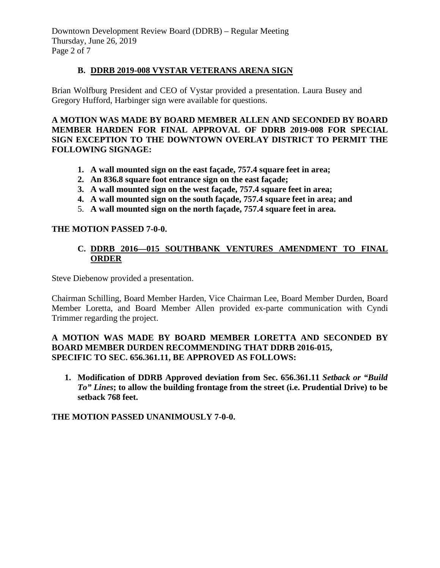Downtown Development Review Board (DDRB) – Regular Meeting Thursday, June 26, 2019 Page 2 of 7

#### **B. DDRB 2019-008 VYSTAR VETERANS ARENA SIGN**

Brian Wolfburg President and CEO of Vystar provided a presentation. Laura Busey and Gregory Hufford, Harbinger sign were available for questions.

**A MOTION WAS MADE BY BOARD MEMBER ALLEN AND SECONDED BY BOARD MEMBER HARDEN FOR FINAL APPROVAL OF DDRB 2019-008 FOR SPECIAL SIGN EXCEPTION TO THE DOWNTOWN OVERLAY DISTRICT TO PERMIT THE FOLLOWING SIGNAGE:** 

- **1. A wall mounted sign on the east façade, 757.4 square feet in area;**
- **2. An 836.8 square foot entrance sign on the east façade;**
- **3. A wall mounted sign on the west façade, 757.4 square feet in area;**
- **4. A wall mounted sign on the south façade, 757.4 square feet in area; and**
- 5. **A wall mounted sign on the north façade, 757.4 square feet in area.**

#### **THE MOTION PASSED 7-0-0.**

# **C. DDRB 2016—015 SOUTHBANK VENTURES AMENDMENT TO FINAL ORDER**

Steve Diebenow provided a presentation.

Chairman Schilling, Board Member Harden, Vice Chairman Lee, Board Member Durden, Board Member Loretta, and Board Member Allen provided ex-parte communication with Cyndi Trimmer regarding the project.

# **A MOTION WAS MADE BY BOARD MEMBER LORETTA AND SECONDED BY BOARD MEMBER DURDEN RECOMMENDING THAT DDRB 2016-015, SPECIFIC TO SEC. 656.361.11, BE APPROVED AS FOLLOWS:**

**1. Modification of DDRB Approved deviation from Sec. 656.361.11** *Setback or "Build To" Lines***; to allow the building frontage from the street (i.e. Prudential Drive) to be setback 768 feet.**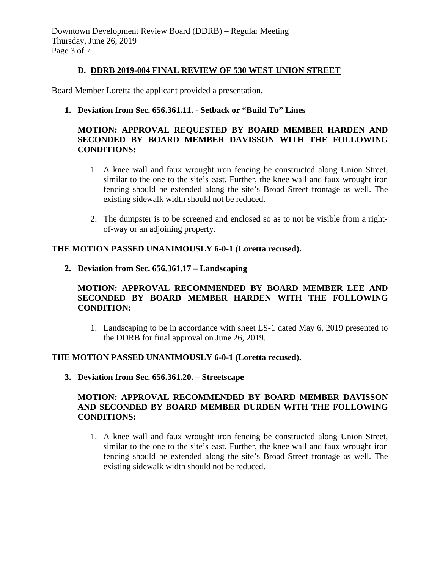#### **D. DDRB 2019-004 FINAL REVIEW OF 530 WEST UNION STREET**

Board Member Loretta the applicant provided a presentation.

**1. Deviation from Sec. 656.361.11. - Setback or "Build To" Lines**

# **MOTION: APPROVAL REQUESTED BY BOARD MEMBER HARDEN AND SECONDED BY BOARD MEMBER DAVISSON WITH THE FOLLOWING CONDITIONS:**

- 1. A knee wall and faux wrought iron fencing be constructed along Union Street, similar to the one to the site's east. Further, the knee wall and faux wrought iron fencing should be extended along the site's Broad Street frontage as well. The existing sidewalk width should not be reduced.
- 2. The dumpster is to be screened and enclosed so as to not be visible from a rightof-way or an adjoining property.

# **THE MOTION PASSED UNANIMOUSLY 6-0-1 (Loretta recused).**

**2. Deviation from Sec. 656.361.17 – Landscaping**

# **MOTION: APPROVAL RECOMMENDED BY BOARD MEMBER LEE AND SECONDED BY BOARD MEMBER HARDEN WITH THE FOLLOWING CONDITION:**

1. Landscaping to be in accordance with sheet LS-1 dated May 6, 2019 presented to the DDRB for final approval on June 26, 2019.

#### **THE MOTION PASSED UNANIMOUSLY 6-0-1 (Loretta recused).**

**3. Deviation from Sec. 656.361.20. – Streetscape**

# **MOTION: APPROVAL RECOMMENDED BY BOARD MEMBER DAVISSON AND SECONDED BY BOARD MEMBER DURDEN WITH THE FOLLOWING CONDITIONS:**

1. A knee wall and faux wrought iron fencing be constructed along Union Street, similar to the one to the site's east. Further, the knee wall and faux wrought iron fencing should be extended along the site's Broad Street frontage as well. The existing sidewalk width should not be reduced.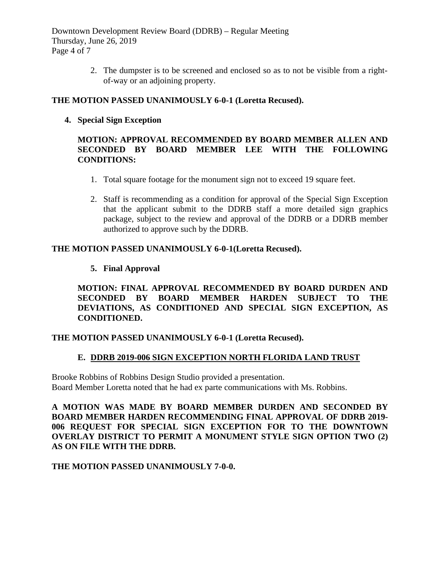Downtown Development Review Board (DDRB) – Regular Meeting Thursday, June 26, 2019 Page 4 of 7

> 2. The dumpster is to be screened and enclosed so as to not be visible from a rightof-way or an adjoining property.

# **THE MOTION PASSED UNANIMOUSLY 6-0-1 (Loretta Recused).**

**4. Special Sign Exception**

# **MOTION: APPROVAL RECOMMENDED BY BOARD MEMBER ALLEN AND SECONDED BY BOARD MEMBER LEE WITH THE FOLLOWING CONDITIONS:**

- 1. Total square footage for the monument sign not to exceed 19 square feet.
- 2. Staff is recommending as a condition for approval of the Special Sign Exception that the applicant submit to the DDRB staff a more detailed sign graphics package, subject to the review and approval of the DDRB or a DDRB member authorized to approve such by the DDRB.

# **THE MOTION PASSED UNANIMOUSLY 6-0-1(Loretta Recused).**

# **5. Final Approval**

**MOTION: FINAL APPROVAL RECOMMENDED BY BOARD DURDEN AND SECONDED BY BOARD MEMBER HARDEN SUBJECT TO THE DEVIATIONS, AS CONDITIONED AND SPECIAL SIGN EXCEPTION, AS CONDITIONED.**

#### **THE MOTION PASSED UNANIMOUSLY 6-0-1 (Loretta Recused).**

#### **E. DDRB 2019-006 SIGN EXCEPTION NORTH FLORIDA LAND TRUST**

Brooke Robbins of Robbins Design Studio provided a presentation. Board Member Loretta noted that he had ex parte communications with Ms. Robbins.

**A MOTION WAS MADE BY BOARD MEMBER DURDEN AND SECONDED BY BOARD MEMBER HARDEN RECOMMENDING FINAL APPROVAL OF DDRB 2019- 006 REQUEST FOR SPECIAL SIGN EXCEPTION FOR TO THE DOWNTOWN OVERLAY DISTRICT TO PERMIT A MONUMENT STYLE SIGN OPTION TWO (2) AS ON FILE WITH THE DDRB.**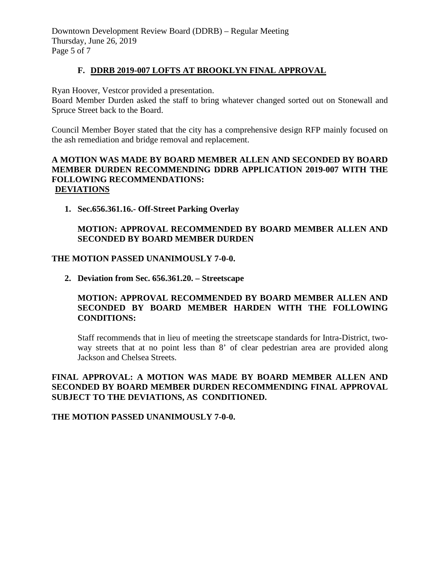Downtown Development Review Board (DDRB) – Regular Meeting Thursday, June 26, 2019 Page 5 of 7

#### **F. DDRB 2019-007 LOFTS AT BROOKLYN FINAL APPROVAL**

Ryan Hoover, Vestcor provided a presentation.

Board Member Durden asked the staff to bring whatever changed sorted out on Stonewall and Spruce Street back to the Board.

Council Member Boyer stated that the city has a comprehensive design RFP mainly focused on the ash remediation and bridge removal and replacement.

# **A MOTION WAS MADE BY BOARD MEMBER ALLEN AND SECONDED BY BOARD MEMBER DURDEN RECOMMENDING DDRB APPLICATION 2019-007 WITH THE FOLLOWING RECOMMENDATIONS: DEVIATIONS**

**1. Sec.656.361.16.- Off-Street Parking Overlay**

# **MOTION: APPROVAL RECOMMENDED BY BOARD MEMBER ALLEN AND SECONDED BY BOARD MEMBER DURDEN**

#### **THE MOTION PASSED UNANIMOUSLY 7-0-0.**

**2. Deviation from Sec. 656.361.20. – Streetscape**

### **MOTION: APPROVAL RECOMMENDED BY BOARD MEMBER ALLEN AND SECONDED BY BOARD MEMBER HARDEN WITH THE FOLLOWING CONDITIONS:**

Staff recommends that in lieu of meeting the streetscape standards for Intra-District, twoway streets that at no point less than 8' of clear pedestrian area are provided along Jackson and Chelsea Streets.

# **FINAL APPROVAL: A MOTION WAS MADE BY BOARD MEMBER ALLEN AND SECONDED BY BOARD MEMBER DURDEN RECOMMENDING FINAL APPROVAL SUBJECT TO THE DEVIATIONS, AS CONDITIONED.**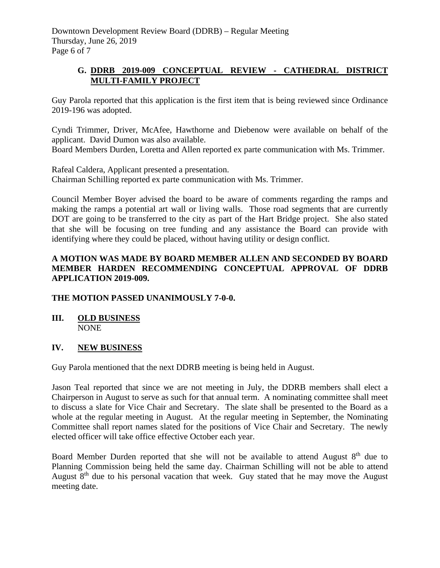Downtown Development Review Board (DDRB) – Regular Meeting Thursday, June 26, 2019 Page 6 of 7

# **G. DDRB 2019-009 CONCEPTUAL REVIEW - CATHEDRAL DISTRICT MULTI-FAMILY PROJECT**

Guy Parola reported that this application is the first item that is being reviewed since Ordinance 2019-196 was adopted.

Cyndi Trimmer, Driver, McAfee, Hawthorne and Diebenow were available on behalf of the applicant. David Dumon was also available.

Board Members Durden, Loretta and Allen reported ex parte communication with Ms. Trimmer.

Rafeal Caldera, Applicant presented a presentation. Chairman Schilling reported ex parte communication with Ms. Trimmer.

Council Member Boyer advised the board to be aware of comments regarding the ramps and making the ramps a potential art wall or living walls. Those road segments that are currently DOT are going to be transferred to the city as part of the Hart Bridge project. She also stated that she will be focusing on tree funding and any assistance the Board can provide with identifying where they could be placed, without having utility or design conflict.

# **A MOTION WAS MADE BY BOARD MEMBER ALLEN AND SECONDED BY BOARD MEMBER HARDEN RECOMMENDING CONCEPTUAL APPROVAL OF DDRB APPLICATION 2019-009.**

# **THE MOTION PASSED UNANIMOUSLY 7-0-0.**

# **III. OLD BUSINESS** NONE

# **IV. NEW BUSINESS**

Guy Parola mentioned that the next DDRB meeting is being held in August.

Jason Teal reported that since we are not meeting in July, the DDRB members shall elect a Chairperson in August to serve as such for that annual term. A nominating committee shall meet to discuss a slate for Vice Chair and Secretary. The slate shall be presented to the Board as a whole at the regular meeting in August. At the regular meeting in September, the Nominating Committee shall report names slated for the positions of Vice Chair and Secretary. The newly elected officer will take office effective October each year.

Board Member Durden reported that she will not be available to attend August  $8<sup>th</sup>$  due to Planning Commission being held the same day. Chairman Schilling will not be able to attend August  $8<sup>th</sup>$  due to his personal vacation that week. Guy stated that he may move the August meeting date.